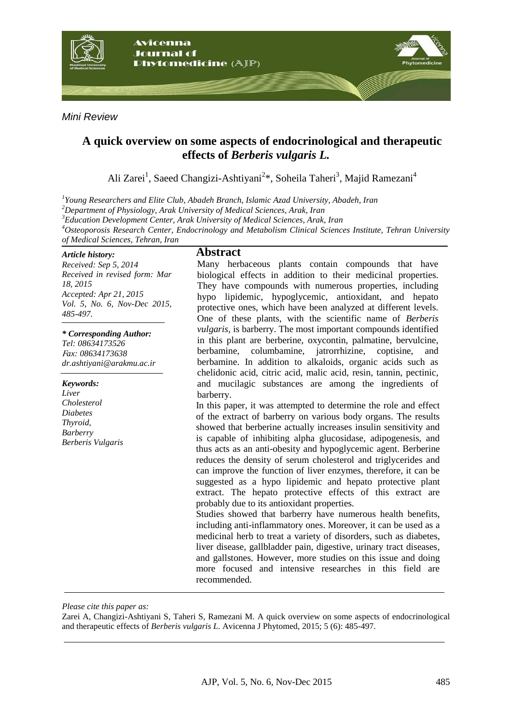

*Mini Review*

## **A quick overview on some aspects of endocrinological and therapeutic effects of** *Berberis vulgaris L.*

Ali Zarei<sup>1</sup>, Saeed Changizi-Ashtiyani<sup>2\*</sup>, Soheila Taheri<sup>3</sup>, Majid Ramezani<sup>4</sup>

*1 Young Researchers and Elite Club, Abadeh Branch, Islamic Azad University, Abadeh, Iran*

*<sup>2</sup>Department of Physiology, Arak University of Medical Sciences, Arak, Iran*

*<sup>3</sup>Education Development Center, Arak University of Medical Sciences, Arak, Iran*

*<sup>4</sup>Osteoporosis Research Center, Endocrinology and Metabolism Clinical Sciences Institute, Tehran University of Medical Sciences, Tehran, Iran*

#### *Article history:*

*Received: Sep 5, 2014 Received in revised form: Mar 18, 2015 Accepted: Apr 21, 2015 Vol. 5, No. 6, Nov-Dec 2015, 485-497.*

*\* Corresponding Author: Tel: 08634173526*

<sup>F</sup>*ax: 08634173638 dr.ashtiyani@arakmu.ac.ir*

*Keywords: Liver Cholesterol Diabetes Thyroid, Barberry Berberis Vulgaris*

#### **Abstract**

Many herbaceous plants contain compounds that have biological effects in addition to their medicinal properties. They have compounds with numerous properties, including hypo lipidemic, hypoglycemic, antioxidant, and hepato protective ones, which have been analyzed at different levels. One of these plants, with the scientific name of *Berberis vulgaris*, is barberry. The most important compounds identified in this plant are berberine, oxycontin, palmatine, bervulcine, berbamine, columbamine, jatrorrhizine, coptisine, and berbamine. In addition to alkaloids, organic acids such as chelidonic acid, citric acid, malic acid, resin, tannin, pectinic, and mucilagic substances are among the ingredients of barberry.

In this paper, it was attempted to determine the role and effect of the extract of barberry on various body organs. The results showed that berberine actually increases insulin sensitivity and is capable of inhibiting alpha glucosidase, adipogenesis, and thus acts as an anti-obesity and hypoglycemic agent. Berberine reduces the density of serum cholesterol and triglycerides and can improve the function of liver enzymes, therefore, it can be suggested as a hypo lipidemic and hepato protective plant extract. The hepato protective effects of this extract are probably due to its antioxidant properties.

Studies showed that barberry have numerous health benefits, including anti-inflammatory ones. Moreover, it can be used as a medicinal herb to treat a variety of disorders, such as diabetes, liver disease, gallbladder pain, digestive, urinary tract diseases, and gallstones. However, more studies on this issue and doing more focused and intensive researches in this field are recommended.

*Please cite this paper as:*

Zarei A, Changizi-Ashtiyani S, Taheri S, Ramezani M. A quick overview on some aspects of endocrinological and therapeutic effects of *Berberis vulgaris L*. Avicenna J Phytomed, 2015; 5 (6): 485-497.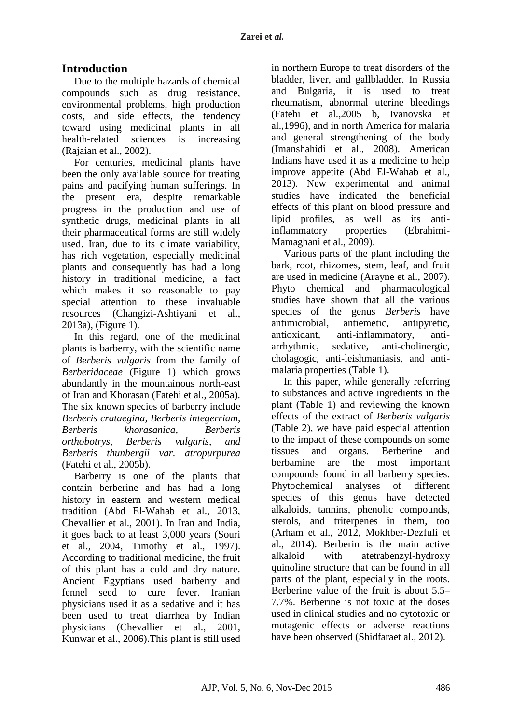# **Introduction**

Due to the multiple hazards of chemical compounds such as drug resistance, environmental problems, high production costs, and side effects, the tendency toward using medicinal plants in all health-related sciences is increasing (Rajaian et al., 2002).

For centuries, medicinal plants have been the only available source for treating pains and pacifying human sufferings. In the present era, despite remarkable progress in the production and use of synthetic drugs, medicinal plants in all their pharmaceutical forms are still widely used. Iran, due to its climate variability, has rich vegetation, especially medicinal plants and consequently has had a long history in traditional medicine, a fact which makes it so reasonable to pay special attention to these invaluable resources (Changizi-Ashtiyani et al., 2013a), (Figure 1).

In this regard, one of the medicinal plants is barberry, with the scientific name of *Berberis vulgaris* from the family of *Berberidaceae* (Figure 1) which grows abundantly in the mountainous north-east of Iran and Khorasan (Fatehi et al., 2005a). The six known species of barberry include *Berberis crataegina, Berberis integerriam, Berberis khorasanica, Berberis orthobotrys, Berberis vulgaris, and Berberis thunbergii var. atropurpurea* (Fatehi et al., 2005b).

Barberry is one of the plants that contain berberine and has had a long history in eastern and western medical tradition (Abd El-Wahab et al., 2013, Chevallier et al., 2001). In Iran and India, it goes back to at least 3,000 years (Souri et al., 2004, Timothy et al., 1997). According to traditional medicine, the fruit of this plant has a cold and dry nature. Ancient Egyptians used barberry and fennel seed to cure fever. Iranian physicians used it as a sedative and it has been used to treat diarrhea by Indian physicians (Chevallier et al., 2001, Kunwar et al., 2006).This plant is still used

in northern Europe to treat disorders of the bladder, liver, and gallbladder. In Russia and Bulgaria, it is used to treat rheumatism, abnormal uterine bleedings (Fatehi et al.,2005 b, Ivanovska et al.,1996), and in north America for malaria and general strengthening of the body (Imanshahidi et al., 2008). American Indians have used it as a medicine to help improve appetite (Abd El-Wahab et al., 2013). New experimental and animal studies have indicated the beneficial effects of this plant on blood pressure and lipid profiles, as well as its antiinflammatory properties (Ebrahimi-Mamaghani et al., 2009).

Various parts of the plant including the bark, root, rhizomes, stem, leaf, and fruit are used in medicine (Arayne et al., 2007). Phyto chemical and pharmacological studies have shown that all the various species of the genus *Berberis* have antimicrobial, antiemetic, antipyretic, antioxidant, anti-inflammatory, antiarrhythmic, sedative, anti-cholinergic, cholagogic, anti-leishmaniasis, and antimalaria properties (Table 1).

In this paper, while generally referring to substances and active ingredients in the plant (Table 1) and reviewing the known effects of the extract of *Berberis vulgaris* (Table 2), we have paid especial attention to the impact of these compounds on some tissues and organs. Berberine and berbamine are the most important compounds found in all barberry species. Phytochemical analyses of different species of this genus have detected alkaloids, tannins, phenolic compounds, sterols, and triterpenes in them, too (Arham et al., 2012, Mokhber-Dezfuli et al., 2014). Berberin is the main active alkaloid with atetrabenzyl-hydroxy quinoline structure that can be found in all parts of the plant, especially in the roots. Berberine value of the fruit is about 5.5– 7.7%. Berberine is not toxic at the doses used in clinical studies and no cytotoxic or mutagenic effects or adverse reactions have been observed (Shidfaraet al., 2012).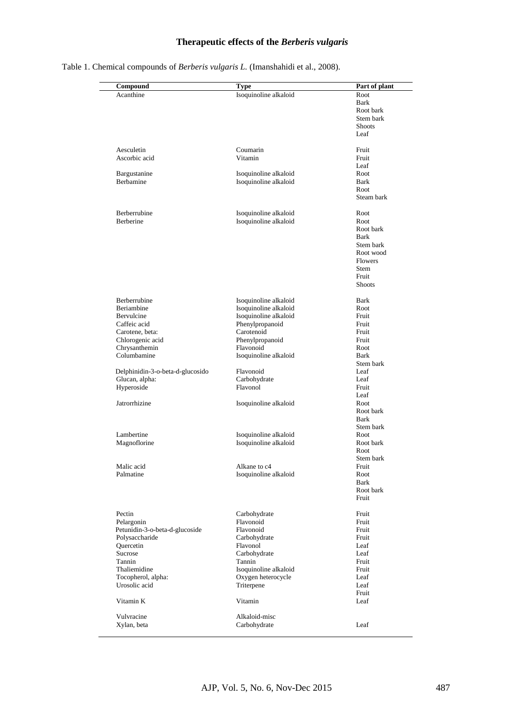#### **Therapeutic effects of the** *Berberis vulgaris*

| Compound                         | <b>Type</b>           | Part of plant      |
|----------------------------------|-----------------------|--------------------|
| Acanthine                        | Isoquinoline alkaloid | Root               |
|                                  |                       | Bark               |
|                                  |                       | Root bark          |
|                                  |                       | Stem bark          |
|                                  |                       | <b>Shoots</b>      |
|                                  |                       | Leaf               |
| Aesculetin                       | Coumarin              | Fruit              |
| Ascorbic acid                    | Vitamin               | Fruit              |
|                                  |                       | Leaf               |
| Bargustanine                     | Isoquinoline alkaloid | Root               |
| <b>Berbamine</b>                 |                       | Bark               |
|                                  | Isoquinoline alkaloid |                    |
|                                  |                       | Root<br>Steam bark |
|                                  |                       |                    |
| Berberrubine                     | Isoquinoline alkaloid | Root               |
| Berberine                        | Isoquinoline alkaloid | Root               |
|                                  |                       | Root bark          |
|                                  |                       | Bark               |
|                                  |                       | Stem bark          |
|                                  |                       | Root wood          |
|                                  |                       | <b>Flowers</b>     |
|                                  |                       | <b>Stem</b>        |
|                                  |                       | Fruit              |
|                                  |                       | <b>Shoots</b>      |
|                                  |                       |                    |
| Berberrubine                     | Isoquinoline alkaloid | Bark               |
| Beriambine                       | Isoquinoline alkaloid | Root               |
| Bervulcine                       | Isoquinoline alkaloid | Fruit              |
| Caffeic acid                     | Phenylpropanoid       | Fruit              |
| Carotene, beta:                  | Carotenoid            | Fruit              |
| Chlorogenic acid                 | Phenylpropanoid       | Fruit              |
| Chrysanthemin                    | Flavonoid             | Root               |
| Columbamine                      | Isoquinoline alkaloid | Bark               |
|                                  |                       | Stem bark          |
|                                  |                       |                    |
| Delphinidin-3-o-beta-d-glucosido | Flavonoid             | Leaf               |
| Glucan, alpha:                   | Carbohydrate          | Leaf               |
| Hyperoside                       | Flavonol              | Fruit              |
|                                  |                       | Leaf               |
| Jatrorrhizine                    | Isoquinoline alkaloid | Root               |
|                                  |                       | Root bark          |
|                                  |                       | Bark               |
|                                  |                       | Stem bark          |
| Lambertine                       | Isoquinoline alkaloid | Root               |
| Magnoflorine                     | Isoquinoline alkaloid | Root bark          |
|                                  |                       | Root               |
|                                  |                       |                    |
|                                  |                       | Stem bark          |
| Malic acid                       | Alkane to c4          | Fruit              |
| Palmatine                        | Isoquinoline alkaloid | Root               |
|                                  |                       | Bark               |
|                                  |                       | Root bark          |
|                                  |                       | Fruit              |
| Pectin                           | Carbohydrate          | Fruit              |
| Pelargonin                       | Flavonoid             | Fruit              |
| Petunidin-3-o-beta-d-glucoside   | Flavonoid             | Fruit              |
| Polysaccharide                   | Carbohydrate          | Fruit              |
| Quercetin                        | Flavonol              | Leaf               |
| Sucrose                          | Carbohydrate          | Leaf               |
|                                  |                       |                    |
| Tannin                           | Tannin                | Fruit              |
| Thaliemidine                     | Isoquinoline alkaloid | Fruit              |
| Tocopherol, alpha:               | Oxygen heterocycle    | Leaf               |
| Urosolic acid                    | Triterpene            | Leaf               |
|                                  |                       | Fruit              |
| Vitamin K                        | Vitamin               | Leaf               |
|                                  |                       |                    |
| Vulvracine                       | Alkaloid-misc         |                    |

Table 1. Chemical compounds of *Berberis vulgaris L.* (Imanshahidi et al., 2008).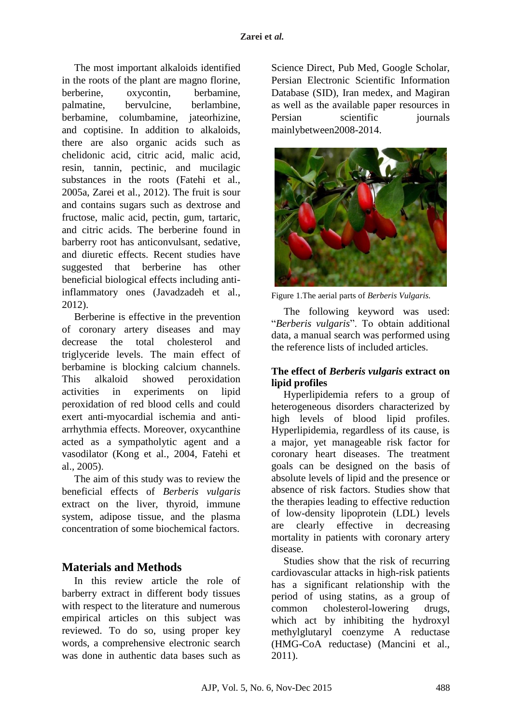The most important alkaloids identified in the roots of the plant are magno florine, berberine, oxycontin, berbamine, palmatine, bervulcine, berlambine, berbamine, columbamine, jateorhizine, and coptisine. In addition to alkaloids, there are also organic acids such as chelidonic acid, citric acid, malic acid, resin, tannin, pectinic, and mucilagic substances in the roots (Fatehi et al., 2005a, Zarei et al., 2012). The fruit is sour and contains sugars such as dextrose and fructose, malic acid, pectin, gum, tartaric, and citric acids. The berberine found in barberry root has anticonvulsant, sedative, and diuretic effects. Recent studies have suggested that berberine has other beneficial biological effects including antiinflammatory ones (Javadzadeh et al., 2012).

Berberine is effective in the prevention of coronary artery diseases and may decrease the total cholesterol and triglyceride levels. The main effect of berbamine is blocking calcium channels. This alkaloid showed peroxidation activities in experiments on lipid peroxidation of red blood cells and could exert anti-myocardial ischemia and antiarrhythmia effects. Moreover, oxycanthine acted as a sympatholytic agent and a vasodilator (Kong et al., 2004, Fatehi et al., 2005).

The aim of this study was to review the beneficial effects of *Berberis vulgaris* extract on the liver, thyroid, immune system, adipose tissue, and the plasma concentration of some biochemical factors.

# **Materials and Methods**

In this review article the role of barberry extract in different body tissues with respect to the literature and numerous empirical articles on this subject was reviewed. To do so, using proper key words, a comprehensive electronic search was done in authentic data bases such as

Science Direct, Pub Med, Google Scholar, Persian Electronic Scientific Information Database (SID), Iran medex, and Magiran as well as the available paper resources in Persian scientific journals mainlybetween2008-2014.



Figure 1.The aerial parts of *Berberis Vulgaris.*

The following keyword was used: "*Berberis vulgaris*". To obtain additional data, a manual search was performed using the reference lists of included articles.

## **The effect of** *Berberis vulgaris* **extract on lipid profiles**

Hyperlipidemia refers to a group of heterogeneous disorders characterized by high levels of blood lipid profiles. Hyperlipidemia, regardless of its cause, is a major, yet manageable risk factor for coronary heart diseases. The treatment goals can be designed on the basis of absolute levels of lipid and the presence or absence of risk factors. Studies show that the therapies leading to effective reduction of low-density lipoprotein (LDL) levels are clearly effective in decreasing mortality in patients with coronary artery disease.

Studies show that the risk of recurring cardiovascular attacks in high-risk patients has a significant relationship with the period of using statins, as a group of common cholesterol-lowering drugs, which act by inhibiting the hydroxyl methylglutaryl coenzyme A reductase (HMG-CoA reductase) (Mancini et al., 2011).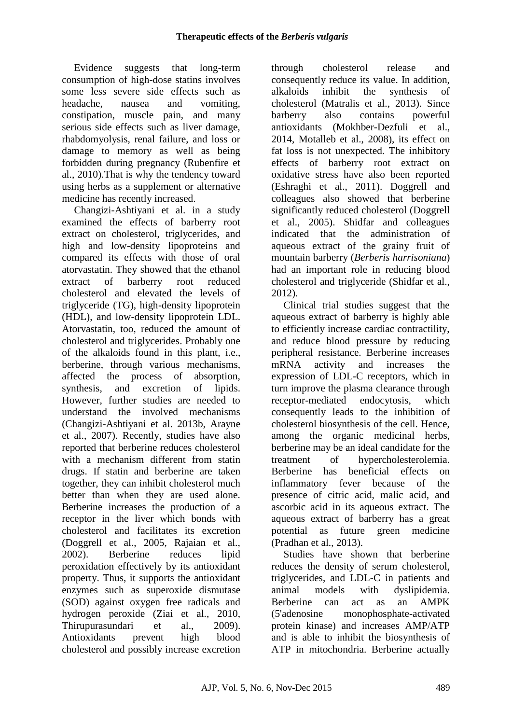Evidence suggests that long-term consumption of high-dose statins involves some less severe side effects such as headache, nausea and vomiting, constipation, muscle pain, and many serious side effects such as liver damage, rhabdomyolysis, renal failure, and loss or damage to memory as well as being forbidden during pregnancy (Rubenfire et al., 2010).That is why the tendency toward using herbs as a supplement or alternative medicine has recently increased.

Changizi-Ashtiyani et al. in a study examined the effects of barberry root extract on cholesterol, triglycerides, and high and low-density lipoproteins and compared its effects with those of oral atorvastatin. They showed that the ethanol extract of barberry root reduced cholesterol and elevated the levels of triglyceride (TG), high-density lipoprotein (HDL), and low-density lipoprotein LDL. Atorvastatin, too, reduced the amount of cholesterol and triglycerides. Probably one of the alkaloids found in this plant, i.e., berberine, through various mechanisms, affected the process of absorption, synthesis, and excretion of lipids. However, further studies are needed to understand the involved mechanisms (Changizi-Ashtiyani et al. 2013b, Arayne et al., 2007). Recently, studies have also reported that berberine reduces cholesterol with a mechanism different from statin drugs. If statin and berberine are taken together, they can inhibit cholesterol much better than when they are used alone. Berberine increases the production of a receptor in the liver which bonds with cholesterol and facilitates its excretion (Doggrell et al., 2005, Rajaian et al., 2002). Berberine reduces lipid peroxidation effectively by its antioxidant property. Thus, it supports the antioxidant enzymes such as superoxide dismutase (SOD) against oxygen free radicals and hydrogen peroxide (Ziai et al., 2010, Thirupurasundari et al., 2009). Antioxidants prevent high blood cholesterol and possibly increase excretion through cholesterol release and consequently reduce its value. In addition, alkaloids inhibit the synthesis of cholesterol (Matralis et al., 2013). Since barberry also contains powerful antioxidants (Mokhber-Dezfuli et al., 2014, Motalleb et al., 2008), its effect on fat loss is not unexpected. The inhibitory effects of barberry root extract on oxidative stress have also been reported (Eshraghi et al., 2011). Doggrell and colleagues also showed that berberine significantly reduced cholesterol (Doggrell et al., 2005). Shidfar and colleagues indicated that the administration of aqueous extract of the grainy fruit of mountain barberry (*Berberis harrisoniana*) had an important role in reducing blood cholesterol and triglyceride [\(Shidfar](http://www.ncbi.nlm.nih.gov/pubmed/?term=Shidfar%20F%5Bauth%5D) et al., 2012).

Clinical trial studies suggest that the aqueous extract of barberry is highly able to efficiently increase cardiac contractility, and reduce blood pressure by reducing peripheral resistance. Berberine increases mRNA activity and increases the expression of LDL-C receptors, which in turn improve the plasma clearance through receptor-mediated endocytosis, which consequently leads to the inhibition of cholesterol biosynthesis of the cell. Hence, among the organic medicinal herbs, berberine may be an ideal candidate for the treatment of hypercholesterolemia. Berberine has beneficial effects on inflammatory fever because of the presence of citric acid, malic acid, and ascorbic acid in its aqueous extract. The aqueous extract of barberry has a great potential as future green medicine (Pradhan et al., 2013).

Studies have shown that berberine reduces the density of serum cholesterol, triglycerides, and LDL-C in patients and animal models with dyslipidemia. Berberine can act as an AMPK (5'adenosine monophosphate-activated protein kinase) and increases AMP/ATP and is able to inhibit the biosynthesis of ATP in mitochondria. Berberine actually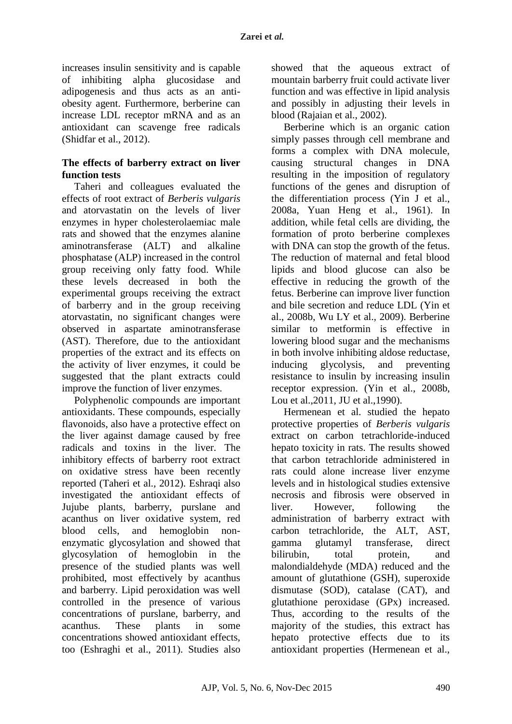increases insulin sensitivity and is capable of inhibiting alpha glucosidase and adipogenesis and thus acts as an antiobesity agent. Furthermore, berberine can increase LDL receptor mRNA and as an antioxidant can scavenge free radicals [\(Shidfar](http://www.ncbi.nlm.nih.gov/pubmed/?term=Shidfar%20F%5Bauth%5D) et al., 2012).

### **The effects of barberry extract on liver function tests**

Taheri and colleagues evaluated the effects of root extract of *Berberis vulgaris* and atorvastatin on the levels of liver enzymes in hyper cholesterolaemiac male rats and showed that the enzymes alanine aminotransferase (ALT) and alkaline phosphatase (ALP) increased in the control group receiving only fatty food. While these levels decreased in both the experimental groups receiving the extract of barberry and in the group receiving atorvastatin, no significant changes were observed in aspartate aminotransferase (AST). Therefore, due to the antioxidant properties of the extract and its effects on the activity of liver enzymes, it could be suggested that the plant extracts could improve the function of liver enzymes.

Polyphenolic compounds are important antioxidants. These compounds, especially flavonoids, also have a protective effect on the liver against damage caused by free radicals and toxins in the liver. The inhibitory effects of barberry root extract on oxidative stress have been recently reported (Taheri et al., 2012). Eshraqi also investigated the antioxidant effects of Jujube plants, barberry, purslane and acanthus on liver oxidative system, red blood cells, and hemoglobin nonenzymatic glycosylation and showed that glycosylation of hemoglobin in the presence of the studied plants was well prohibited, most effectively by acanthus and barberry. Lipid peroxidation was well controlled in the presence of various concentrations of purslane, barberry, and acanthus. These plants in some concentrations showed antioxidant effects, too (Eshraghi et al., 2011). Studies also

showed that the aqueous extract of mountain barberry fruit could activate liver function and was effective in lipid analysis and possibly in adjusting their levels in blood (Rajaian et al., 2002).

Berberine which is an organic cation simply passes through cell membrane and forms a complex with DNA molecule, causing structural changes in DNA resulting in the imposition of regulatory functions of the genes and disruption of the differentiation process (Yin J et al., 2008a, Yuan Heng et al., 1961). In addition, while fetal cells are dividing, the formation of proto berberine complexes with DNA can stop the growth of the fetus. The reduction of maternal and fetal blood lipids and blood glucose can also be effective in reducing the growth of the fetus. Berberine can improve liver function and bile secretion and reduce LDL (Yin et al., 2008b, Wu LY et al., 2009). Berberine similar to metformin is effective in lowering blood sugar and the mechanisms in both involve inhibiting aldose reductase, inducing glycolysis, and preventing resistance to insulin by increasing insulin receptor expression. (Yin et al., 2008b, Lou et al.,2011, JU et al.,1990).

Hermenean et al. studied the hepato protective properties of *Berberis vulgaris* extract on carbon tetrachloride-induced hepato toxicity in rats. The results showed that carbon tetrachloride administered in rats could alone increase liver enzyme levels and in histological studies extensive necrosis and fibrosis were observed in liver. However, following the administration of barberry extract with carbon tetrachloride, the ALT, AST, gamma glutamyl transferase, direct bilirubin, total protein, and malondialdehyde (MDA) reduced and the amount of glutathione (GSH), superoxide dismutase (SOD), catalase (CAT), and glutathione peroxidase (GPx) increased. Thus, according to the results of the majority of the studies, this extract has hepato protective effects due to its antioxidant properties (Hermenean et al.,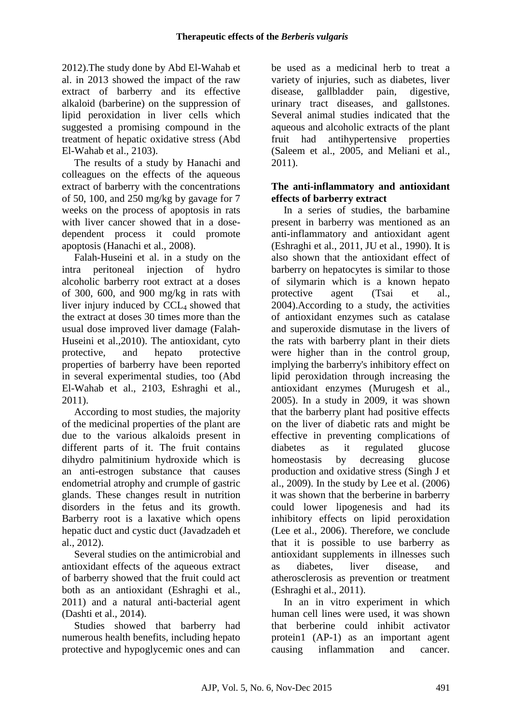2012).The study done by Abd El-Wahab et al. in 2013 showed the impact of the raw extract of barberry and its effective alkaloid (barberine) on the suppression of lipid peroxidation in liver cells which suggested a promising compound in the treatment of hepatic oxidative stress (Abd El-Wahab et al., 2103).

The results of a study by Hanachi and colleagues on the effects of the aqueous extract of barberry with the concentrations of 50, 100, and 250 mg/kg by gavage for 7 weeks on the process of apoptosis in rats with liver cancer showed that in a dosedependent process it could promote apoptosis (Hanachi et al., 2008).

Falah-Huseini et al. in a study on the intra peritoneal injection of hydro alcoholic barberry root extract at a doses of 300, 600, and 900 mg/kg in rats with liver injury induced by CCL<sub>4</sub> showed that the extract at doses 30 times more than the usual dose improved liver damage (Falah-Huseini et al.,2010). The antioxidant, cyto protective, and hepato protective properties of barberry have been reported in several experimental studies, too (Abd El-Wahab et al., 2103, Eshraghi et al., 2011).

According to most studies, the majority of the medicinal properties of the plant are due to the various alkaloids present in different parts of it. The fruit contains dihydro palmitinium hydroxide which is an anti-estrogen substance that causes endometrial atrophy and crumple of gastric glands. These changes result in nutrition disorders in the fetus and its growth. Barberry root is a laxative which opens hepatic duct and cystic duct (Javadzadeh et al., 2012).

Several studies on the antimicrobial and antioxidant effects of the aqueous extract of barberry showed that the fruit could act both as an antioxidant (Eshraghi et al., 2011) and a natural anti-bacterial agent (Dashti et al., 2014).

Studies showed that barberry had numerous health benefits, including hepato protective and hypoglycemic ones and can

be used as a medicinal herb to treat a variety of injuries, such as diabetes, liver disease, gallbladder pain, digestive, urinary tract diseases, and gallstones. Several animal studies indicated that the aqueous and alcoholic extracts of the plant fruit had antihypertensive properties (Saleem et al., 2005, and Meliani et al., 2011).

#### **The anti-inflammatory and antioxidant effects of barberry extract**

In a series of studies, the barbamine present in barberry was mentioned as an anti-inflammatory and antioxidant agent (Eshraghi et al., 2011, JU et al., 1990). It is also shown that the antioxidant effect of barberry on hepatocytes is similar to those of silymarin which is a known hepato protective agent (Tsai et al., 2004).According to a study, the activities of antioxidant enzymes such as catalase and superoxide dismutase in the livers of the rats with barberry plant in their diets were higher than in the control group, implying the barberry's inhibitory effect on lipid peroxidation through increasing the antioxidant enzymes (Murugesh et al., 2005). In a study in 2009, it was shown that the barberry plant had positive effects on the liver of diabetic rats and might be effective in preventing complications of diabetes as it regulated glucose homeostasis by decreasing glucose production and oxidative stress (Singh J et al., 2009). In the study by Lee et al. (2006) it was shown that the berberine in barberry could lower lipogenesis and had its inhibitory effects on lipid peroxidation (Lee et al., 2006). Therefore, we conclude that it is possible to use barberry as antioxidant supplements in illnesses such as diabetes, liver disease, and atherosclerosis as prevention or treatment (Eshraghi et al., 2011).

In an in vitro experiment in which human cell lines were used, it was shown that berberine could inhibit activator protein1 (AP-1) as an important agent causing inflammation and cancer.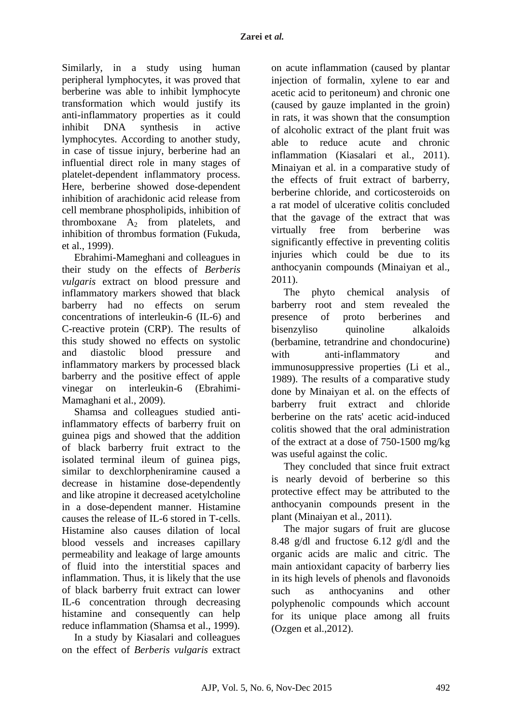Similarly, in a study using human peripheral lymphocytes, it was proved that berberine was able to inhibit lymphocyte transformation which would justify its anti-inflammatory properties as it could inhibit DNA synthesis in active lymphocytes. According to another study, in case of tissue injury, berberine had an influential direct role in many stages of platelet-dependent inflammatory process. Here, berberine showed dose-dependent inhibition of arachidonic acid release from cell membrane phospholipids, inhibition of thromboxane  $A_2$  from platelets, and inhibition of thrombus formation (Fukuda, et al., 1999).

Ebrahimi-Mameghani and colleagues in their study on the effects of *Berberis vulgaris* extract on blood pressure and inflammatory markers showed that black barberry had no effects on serum concentrations of interleukin-6 (IL-6) and C-reactive protein (CRP). The results of this study showed no effects on systolic and diastolic blood pressure and inflammatory markers by processed black barberry and the positive effect of apple vinegar on interleukin-6 (Ebrahimi-Mamaghani et al., 2009).

Shamsa and colleagues studied antiinflammatory effects of barberry fruit on guinea pigs and showed that the addition of black barberry fruit extract to the isolated terminal ileum of guinea pigs, similar to dexchlorpheniramine caused a decrease in histamine dose-dependently and like atropine it decreased acetylcholine in a dose-dependent manner. Histamine causes the release of IL-6 stored in T-cells. Histamine also causes dilation of local blood vessels and increases capillary permeability and leakage of large amounts of fluid into the interstitial spaces and inflammation. Thus, it is likely that the use of black barberry fruit extract can lower IL-6 concentration through decreasing histamine and consequently can help reduce inflammation (Shamsa et al., 1999).

In a study by Kiasalari and colleagues on the effect of *Berberis vulgaris* extract on acute inflammation (caused by plantar injection of formalin, xylene to ear and acetic acid to peritoneum) and chronic one (caused by gauze implanted in the groin) in rats, it was shown that the consumption of alcoholic extract of the plant fruit was able to reduce acute and chronic inflammation (Kiasalari et al., 2011). Minaiyan et al. in a comparative study of the effects of fruit extract of barberry, berberine chloride, and corticosteroids on a rat model of ulcerative colitis concluded that the gavage of the extract that was virtually free from berberine was significantly effective in preventing colitis injuries which could be due to its anthocyanin compounds (Minaiyan et al., 2011).

The phyto chemical analysis of barberry root and stem revealed the presence of proto berberines and bisenzyliso quinoline alkaloids (berbamine, tetrandrine and chondocurine) with anti-inflammatory and immunosuppressive properties (Li et al., 1989). The results of a comparative study done by Minaiyan et al. on the effects of barberry fruit extract and chloride berberine on the rats' acetic acid-induced colitis showed that the oral administration of the extract at a dose of 750-1500 mg/kg was useful against the colic.

They concluded that since fruit extract is nearly devoid of berberine so this protective effect may be attributed to the anthocyanin compounds present in the plant (Minaiyan et al., 2011).

The major sugars of fruit are glucose 8.48 g/dl and fructose 6.12 g/dl and the organic acids are malic and citric. The main antioxidant capacity of barberry lies in its high levels of phenols and flavonoids such as anthocyanins and other polyphenolic compounds which account for its unique place among all fruits (Ozgen et al.,2012).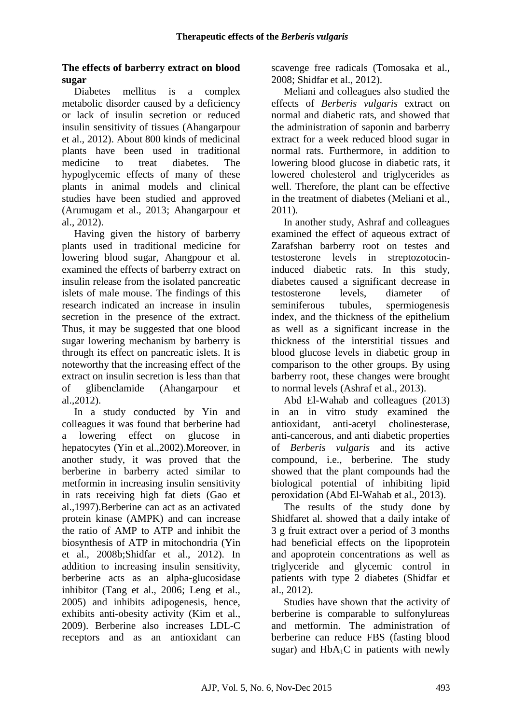#### **The effects of barberry extract on blood sugar**

Diabetes mellitus is a complex metabolic disorder caused by a deficiency or lack of insulin secretion or reduced insulin sensitivity of tissues (Ahangarpour et al., 2012). About 800 kinds of medicinal plants have been used in traditional medicine to treat diabetes. The hypoglycemic effects of many of these plants in animal models and clinical studies have been studied and approved (Arumugam et al., 2013; Ahangarpour et al., 2012).

Having given the history of barberry plants used in traditional medicine for lowering blood sugar, Ahangpour et al. examined the effects of barberry extract on insulin release from the isolated pancreatic islets of male mouse. The findings of this research indicated an increase in insulin secretion in the presence of the extract. Thus, it may be suggested that one blood sugar lowering mechanism by barberry is through its effect on pancreatic islets. It is noteworthy that the increasing effect of the extract on insulin secretion is less than that of glibenclamide (Ahangarpour et al.,2012).

In a study conducted by Yin and colleagues it was found that berberine had a lowering effect on glucose in hepatocytes (Yin et al.,2002).Moreover, in another study, it was proved that the berberine in barberry acted similar to metformin in increasing insulin sensitivity in rats receiving high fat diets (Gao et al.,1997).Berberine can act as an activated protein kinase (AMPK) and can increase the ratio of AMP to ATP and inhibit the biosynthesis of ATP in mitochondria (Yin et al., 2008b;Shidfar et al., 2012). In addition to increasing insulin sensitivity, berberine acts as an alpha-glucosidase inhibitor (Tang et al., 2006; Leng et al., 2005) and inhibits adipogenesis, hence, exhibits anti-obesity activity (Kim et al., 2009). Berberine also increases LDL-C receptors and as an antioxidant can

scavenge free radicals (Tomosaka et al., 2008; Shidfar et al., 2012).

Meliani and colleagues also studied the effects of *Berberis vulgaris* extract on normal and diabetic rats, and showed that the administration of saponin and barberry extract for a week reduced blood sugar in normal rats. Furthermore, in addition to lowering blood glucose in diabetic rats, it lowered cholesterol and triglycerides as well. Therefore, the plant can be effective in the treatment of diabetes (Meliani et al., 2011).

In another study, Ashraf and colleagues examined the effect of aqueous extract of Zarafshan barberry root on testes and testosterone levels in streptozotocininduced diabetic rats. In this study, diabetes caused a significant decrease in testosterone levels, diameter of seminiferous tubules, spermiogenesis index, and the thickness of the epithelium as well as a significant increase in the thickness of the interstitial tissues and blood glucose levels in diabetic group in comparison to the other groups. By using barberry root, these changes were brought to normal levels (Ashraf et al., 2013).

Abd El-Wahab and colleagues (2013) in an in vitro study examined the antioxidant, anti-acetyl cholinesterase, anti-cancerous, and anti diabetic properties of *Berberis vulgaris* and its active compound, i.e., berberine. The study showed that the plant compounds had the biological potential of inhibiting lipid peroxidation (Abd El-Wahab et al., 2013).

The results of the study done by Shidfaret al. showed that a daily intake of 3 g fruit extract over a period of 3 months had beneficial effects on the lipoprotein and apoprotein concentrations as well as triglyceride and glycemic control in patients with type 2 diabetes (Shidfar et al., 2012).

Studies have shown that the activity of berberine is comparable to sulfonylureas and metformin. The administration of berberine can reduce FBS (fasting blood sugar) and  $HbA_1C$  in patients with newly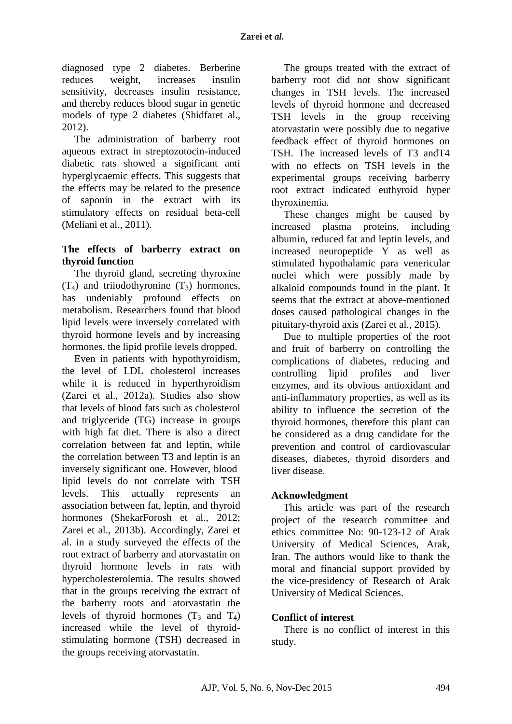diagnosed type 2 diabetes. Berberine reduces weight, increases insulin sensitivity, decreases insulin resistance, and thereby reduces blood sugar in genetic models of type 2 diabetes (Shidfaret al., 2012).

The administration of barberry root aqueous extract in streptozotocin-induced diabetic rats showed a significant anti hyperglycaemic effects. This suggests that the effects may be related to the presence of saponin in the extract with its stimulatory effects on residual beta-cell (Meliani et al., 2011).

### **The effects of barberry extract on thyroid function**

The thyroid gland, secreting thyroxine  $(T_4)$  and triiodothyronine  $(T_3)$  hormones, has undeniably profound effects on metabolism. Researchers found that blood lipid levels were inversely correlated with thyroid hormone levels and by increasing hormones, the lipid profile levels dropped.

Even in patients with hypothyroidism, the level of LDL cholesterol increases while it is reduced in hyperthyroidism (Zarei et al., 2012a). Studies also show that levels of blood fats such as cholesterol and triglyceride (TG) increase in groups with high fat diet. There is also a direct correlation between fat and leptin, while the correlation between T3 and leptin is an inversely significant one. However, blood lipid levels do not correlate with TSH levels. This actually represents an association between fat, leptin, and thyroid hormones (ShekarForosh et al., 2012; Zarei et al., 2013b). Accordingly, Zarei et al. in a study surveyed the effects of the root extract of barberry and atorvastatin on thyroid hormone levels in rats with hypercholesterolemia. The results showed that in the groups receiving the extract of the barberry roots and atorvastatin the levels of thyroid hormones  $(T_3 \text{ and } T_4)$ increased while the level of thyroidstimulating hormone (TSH) decreased in the groups receiving atorvastatin.

The groups treated with the extract of barberry root did not show significant changes in TSH levels. The increased levels of thyroid hormone and decreased TSH levels in the group receiving atorvastatin were possibly due to negative feedback effect of thyroid hormones on TSH. The increased levels of T3 andT4 with no effects on TSH levels in the experimental groups receiving barberry root extract indicated euthyroid hyper thyroxinemia.

These changes might be caused by increased plasma proteins, including albumin, reduced fat and leptin levels, and increased neuropeptide Y as well as stimulated hypothalamic para venericular nuclei which were possibly made by alkaloid compounds found in the plant. It seems that the extract at above-mentioned doses caused pathological changes in the pituitary-thyroid axis (Zarei et al., 2015).

Due to multiple properties of the root and fruit of barberry on controlling the complications of diabetes, reducing and controlling lipid profiles and liver enzymes, and its obvious antioxidant and anti-inflammatory properties, as well as its ability to influence the secretion of the thyroid hormones, therefore this plant can be considered as a drug candidate for the prevention and control of cardiovascular diseases, diabetes, thyroid disorders and liver disease.

#### **Acknowledgment**

This article was part of the research project of the research committee and ethics committee No: 90-123-12 of Arak University of Medical Sciences, Arak, Iran. The authors would like to thank the moral and financial support provided by the vice-presidency of Research of Arak University of Medical Sciences.

#### **Conflict of interest**

There is no conflict of interest in this study.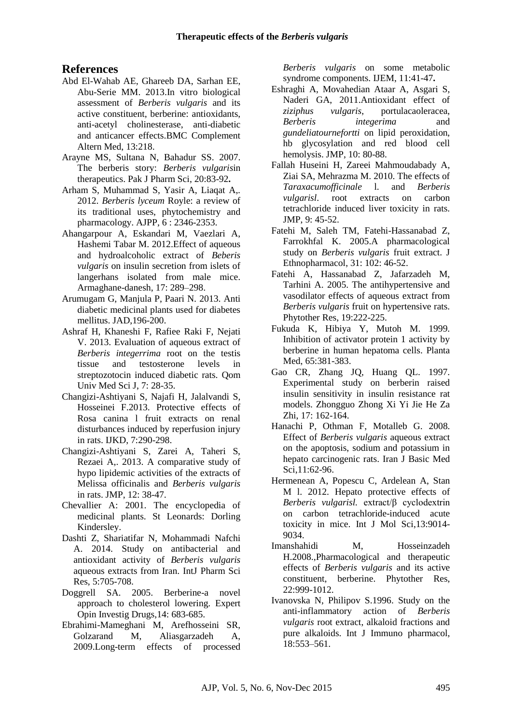## **References**

- [Abd El-Wahab AE,](http://www.ncbi.nlm.nih.gov/pubmed?term=Abd%20El-Wahab%20AE%5BAuthor%5D&cauthor=true&cauthor_uid=24007270) [Ghareeb DA,](http://www.ncbi.nlm.nih.gov/pubmed?term=Ghareeb%20DA%5BAuthor%5D&cauthor=true&cauthor_uid=24007270) [Sarhan EE,](http://www.ncbi.nlm.nih.gov/pubmed?term=Sarhan%20EE%5BAuthor%5D&cauthor=true&cauthor_uid=24007270) [Abu-Serie MM.](http://www.ncbi.nlm.nih.gov/pubmed?term=Abu-Serie%20MM%5BAuthor%5D&cauthor=true&cauthor_uid=24007270) 2013.In vitro biological assessment of *Berberis vulgaris* and its active constituent, berberine: antioxidants, anti-acetyl cholinesterase, anti-diabetic and anticancer effects[.BMC Complement](http://www.ncbi.nlm.nih.gov/pubmed/24007270)  [Altern Med,](http://www.ncbi.nlm.nih.gov/pubmed/24007270) 13:218.
- [Arayne MS,](http://www.ncbi.nlm.nih.gov/pubmed?term=Arayne%20MS%5BAuthor%5D&cauthor=true&cauthor_uid=17337435) [Sultana N,](http://www.ncbi.nlm.nih.gov/pubmed?term=Sultana%20N%5BAuthor%5D&cauthor=true&cauthor_uid=17337435) [Bahadur SS.](http://www.ncbi.nlm.nih.gov/pubmed?term=Bahadur%20SS%5BAuthor%5D&cauthor=true&cauthor_uid=17337435) 2007. The berberis story: *Berberis vulgaris*in therapeutics. [Pak J Pharm Sci,](http://www.ncbi.nlm.nih.gov/pubmed/17337435) 20:83-92**.**
- Arham S, Muhammad S, Yasir A, Liaqat A,. 2012. *Berberis lyceum* Royle: a review of its traditional uses, phytochemistry and pharmacology. AJPP, 6 : 2346-2353.
- Ahangarpour A, Eskandari M, Vaezlari A, Hashemi Tabar M. 2012.Effect of aqueous and hydroalcoholic extract of *Beberis vulgaris* on insulin secretion from islets of langerhans isolated from male mice. Armaghane-danesh, 17: 289–298.
- Arumugam G, Manjula P, Paari N. 2013. Anti diabetic medicinal plants used for diabetes mellitus. JAD,196-200.
- Ashraf H, Khaneshi F, Rafiee Raki F, Nejati V. 2013. Evaluation of aqueous extract of *Berberis integerrima* root on the testis tissue and testosterone levels in streptozotocin induced diabetic rats. Qom Univ Med Sci J, 7: 28-35.
- [Changizi-Ashtiyani S,](http://www.ncbi.nlm.nih.gov/pubmed?term=Changizi%20Ashtiyani%20S%5BAuthor%5D&cauthor=true&cauthor_uid=23880806) [Najafi H,](http://www.ncbi.nlm.nih.gov/pubmed?term=Najafi%20H%5BAuthor%5D&cauthor=true&cauthor_uid=23880806) [Jalalvandi S,](http://www.ncbi.nlm.nih.gov/pubmed?term=Jalalvandi%20S%5BAuthor%5D&cauthor=true&cauthor_uid=23880806) [Hosseinei F.](http://www.ncbi.nlm.nih.gov/pubmed?term=Hosseinei%20F%5BAuthor%5D&cauthor=true&cauthor_uid=23880806)2013. Protective effects of Rosa canina l fruit extracts on renal disturbances induced by reperfusion injury in rats. [IJKD,](http://www.ncbi.nlm.nih.gov/pubmed/23880806) 7:290-298.
- Changizi-Ashtiyani S, Zarei A, Taheri S, Rezaei A,. 2013. A comparative study of hypo lipidemic activities of the extracts of Melissa officinalis and *Berberis vulgaris* in rats. JMP, 12: 38-47.
- Chevallier A: 2001. The encyclopedia of medicinal plants. St Leonards: Dorling Kindersley.
- Dashti Z, Shariatifar N, Mohammadi Nafchi A. 2014. Study on antibacterial and antioxidant activity of *Berberis vulgaris* aqueous extracts from Iran. IntJ Pharm Sci Res, 5:705-708.
- Doggrell SA. 2005. Berberine-a novel approach to cholesterol lowering. Expert Opin Investig Drugs,14: 683-685.
- Ebrahimi-Mameghani M, Arefhosseini SR, Golzarand M, Aliasgarzadeh A, 2009.Long-term effects of processed

*Berberis vulgaris* on some metabolic syndrome components. IJEM, 11:41-47**.**

- Eshraghi A, Movahedian Ataar A, Asgari S, Naderi GA, 2011.Antioxidant effect of *ziziphus vulgaris*, portulacaoleracea, *Berberis integerima* and *gundeliatournefortti* on lipid peroxidation, hb glycosylation and red blood cell hemolysis. JMP, 10: 80-88.
- Fallah Huseini H, Zareei Mahmoudabady A, Ziai SA, Mehrazma M. 2010. The effects of *Taraxacumofficinale* l. and *Berberis vulgarisl*. root extracts on carbon tetrachloride induced liver toxicity in rats. JMP, 9: 45-52.
- Fatehi M, Saleh TM, Fatehi-Hassanabad Z, Farrokhfal K. 2005.A pharmacological study on *Berberis vulgaris* fruit extract. J Ethnopharmacol, 31: 102: 46-52.
- Fatehi A, Hassanabad Z, Jafarzadeh M, Tarhini A. 2005. The antihypertensive and vasodilator effects of aqueous extract from *Berberis vulgaris* fruit on hypertensive rats. Phytother Res, 19:222-225.
- Fukuda K, Hibiya Y, Mutoh M. 1999. Inhibition of activator protein 1 activity by berberine in human hepatoma cells. Planta Med, 65:381-383.
- Gao CR, Zhang JQ, Huang QL. 1997. Experimental study on berberin raised insulin sensitivity in insulin resistance rat models. Zhongguo Zhong Xi Yi Jie He Za Zhi, 17: 162-164.
- Hanachi P, Othman F, Motalleb G. 2008. Effect of *Berberis vulgaris* aqueous extract on the apoptosis, sodium and potassium in hepato carcinogenic rats. Iran J Basic Med Sci,11:62-96.
- [Hermenean A,](http://www.ncbi.nlm.nih.gov/pubmed?term=Hermenean%20A%5BAuthor%5D&cauthor=true&cauthor_uid=22942749) [Popescu C,](http://www.ncbi.nlm.nih.gov/pubmed?term=Popescu%20C%5BAuthor%5D&cauthor=true&cauthor_uid=22942749) [Ardelean A,](http://www.ncbi.nlm.nih.gov/pubmed?term=Ardelean%20A%5BAuthor%5D&cauthor=true&cauthor_uid=22942749) [Stan](http://www.ncbi.nlm.nih.gov/pubmed?term=Stan%20M%5BAuthor%5D&cauthor=true&cauthor_uid=22942749)  [M](http://www.ncbi.nlm.nih.gov/pubmed?term=Stan%20M%5BAuthor%5D&cauthor=true&cauthor_uid=22942749) l. 2012. Hepato protective effects of *Berberis vulgarisl.* extract/β cyclodextrin on carbon tetrachloride-induced acute toxicity in mice. [Int J Mol Sci,1](http://www.ncbi.nlm.nih.gov/pubmed/?term=Hepatoprotective+Effects+of+Berberis+vulgaris+L.+Extract%2F%CE%B2+Cyclodextrin+on+Carbon+Tetrachloride%E2%80%93Induced+Acute+Toxicity+in+Mice.+Int.+J.+Mol.+Sci.+2012%2C+13%2C+9014-9034.)3:9014- 9034.
- [Imanshahidi M,](http://www.ncbi.nlm.nih.gov/pubmed?term=Imanshahidi%20M%5BAuthor%5D&cauthor=true&cauthor_uid=18618524) [Hosseinzadeh](http://www.ncbi.nlm.nih.gov/pubmed?term=Hosseinzadeh%20H%5BAuthor%5D&cauthor=true&cauthor_uid=18618524)  [H.](http://www.ncbi.nlm.nih.gov/pubmed?term=Hosseinzadeh%20H%5BAuthor%5D&cauthor=true&cauthor_uid=18618524)2008.,Pharmacological and therapeutic effects of *Berberis vulgaris* and its active constituent, berberine. [Phytother Res,](http://www.ncbi.nlm.nih.gov/pubmed/?term=Pharmacological+and+therapeutic+effects+of+Berberis+vulgaris+and+its+active+constituent%2C+Berberine.+Phytotherapy+Research) 22:999-1012.
- Ivanovska N, Philipov S.1996. Study on the anti-inflammatory action of *Berberis vulgaris* root extract, alkaloid fractions and pure alkaloids. Int J Immuno pharmacol, 18:553–561.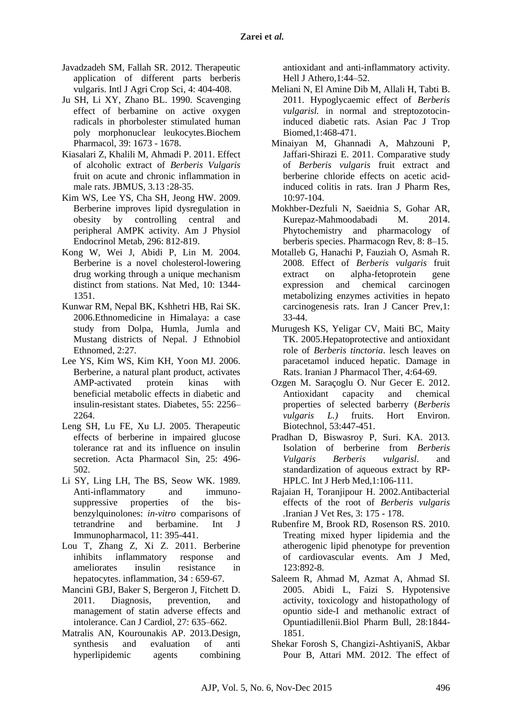- Javadzadeh SM, Fallah SR. 2012. Therapeutic application of different parts berberis vulgaris. Intl J Agri Crop Sci, 4: 404-408.
- Ju SH, Li XY, Zhano BL. 1990. Scavenging effect of berbamine on active oxygen radicals in phorbolester stimulated human poly morphonuclear leukocytes.Biochem Pharmacol, 39: 1673 - 1678.
- Kiasalari Z, Khalili M, Ahmadi P. 2011. Effect of alcoholic extract of *Berberis Vulgaris*  fruit on acute and chronic inflammation in male rats. JBMUS, 3.13 :28-35.
- Kim WS, Lee YS, Cha SH, Jeong HW. 2009. Berberine improves lipid dysregulation in obesity by controlling central and peripheral AMPK activity. Am J Physiol Endocrinol Metab, 296: 812-819.
- Kong W, Wei J, Abidi P, Lin M. 2004. Berberine is a novel cholesterol-lowering drug working through a unique mechanism distinct from stations. Nat Med, 10: 1344- 1351.
- Kunwar RM, Nepal BK, Kshhetri HB, Rai SK. 2006.Ethnomedicine in Himalaya: a case study from Dolpa, Humla, Jumla and Mustang districts of Nepal. J Ethnobiol Ethnomed, 2:27.
- Lee YS, Kim WS, Kim KH, Yoon MJ. 2006. Berberine, a natural plant product, activates AMP-activated protein kinas with beneficial metabolic effects in diabetic and insulin-resistant states. Diabetes, 55: 2256– 2264.
- Leng SH, Lu FE, Xu LJ. 2005. Therapeutic effects of berberine in impaired glucose tolerance rat and its influence on insulin secretion. Acta Pharmacol Sin, 25: 496- 502.
- Li SY, Ling LH, The BS, Seow WK. 1989. Anti-inflammatory and immunosuppressive properties of the bisbenzylquinolones: *in-vitro* comparisons of tetrandrine and berbamine. Int J Immunopharmacol, 11: 395-441.
- Lou T, Zhang Z, Xi Z. 2011. Berberine inhibits inflammatory response and ameliorates insulin resistance in hepatocytes. inflammation, 34 : 659-67.
- Mancini GBJ, Baker S, Bergeron J, Fitchett D. 2011. Diagnosis, prevention, and management of statin adverse effects and intolerance. Can J Cardiol, 27: 635–662.
- Matralis AN, Kourounakis AP. 2013.Design, synthesis and evaluation of anti hyperlipidemic agents combining

antioxidant and anti-inflammatory activity. Hell J Athero,1:44–52.

- Meliani N, El Amine Dib M, Allali H, Tabti B. 2011. Hypoglycaemic effect of *Berberis vulgarisl.* in normal and streptozotocininduced diabetic rats. Asian Pac J Trop Biomed,1:468-471.
- [Minaiyan M,](http://www.ncbi.nlm.nih.gov/pubmed?term=Minaiyan%20M%5BAuthor%5D&cauthor=true&cauthor_uid=24363687) [Ghannadi A,](http://www.ncbi.nlm.nih.gov/pubmed?term=Ghannadi%20A%5BAuthor%5D&cauthor=true&cauthor_uid=24363687) [Mahzouni P,](http://www.ncbi.nlm.nih.gov/pubmed?term=Mahzouni%20P%5BAuthor%5D&cauthor=true&cauthor_uid=24363687) [Jaffari-Shirazi E.](http://www.ncbi.nlm.nih.gov/pubmed?term=Jaffari-Shirazi%20E%5BAuthor%5D&cauthor=true&cauthor_uid=24363687) 2011. Comparative study of *Berberis vulgaris* fruit extract and berberine chloride effects on acetic acidinduced colitis in rats. [Iran J Pharm Res,](http://www.ncbi.nlm.nih.gov/pubmed/24363687) 10:97-104.
- Mokhber-Dezfuli N, Saeidnia S, Gohar AR, Kurepaz-Mahmoodabadi M. 2014. Phytochemistry and pharmacology of berberis species. Pharmacogn Rev, 8: 8–15.
- Motalleb G, Hanachi P, Fauziah O, Asmah R. 2008. Effect of *Berberis vulgaris* fruit extract on alpha-fetoprotein gene expression and chemical carcinogen metabolizing enzymes activities in hepato carcinogenesis rats. Iran J Cancer Prev,1: 33-44.
- Murugesh KS, Yeligar CV, Maiti BC, Maity TK. 2005.Hepatoprotective and antioxidant role of *Berberis tinctoria*. lesch leaves on paracetamol induced hepatic. Damage in Rats. Iranian J Pharmacol Ther, 4:64-69.
- Ozgen M. Saraçoglu O. Nur Gecer E. 2012. Antioxidant capacity and chemical properties of selected barberry (*Berberis vulgaris L.)* fruits. Hort Environ. Biotechnol, 53:447-451.
- Pradhan D, Biswasroy P, Suri. KA. 2013. Isolation of berberine from *Berberis Vulgaris Berberis vulgarisl*. and standardization of aqueous extract by RP-HPLC. Int J Herb Med,1:106-111.
- Rajaian H, Toranjipour H. 2002.Antibacterial effects of the root of *Berberis vulgaris .*Iranian J Vet Res, 3: 175 - 178.
- [Rubenfire M,](http://www.ncbi.nlm.nih.gov/pubmed?term=Rubenfire%20M%5BAuthor%5D&cauthor=true&cauthor_uid=20920687) [Brook RD,](http://www.ncbi.nlm.nih.gov/pubmed?term=Brook%20RD%5BAuthor%5D&cauthor=true&cauthor_uid=20920687) [Rosenson RS.](http://www.ncbi.nlm.nih.gov/pubmed?term=Rosenson%20RS%5BAuthor%5D&cauthor=true&cauthor_uid=20920687) 2010. Treating mixed hyper lipidemia and the atherogenic lipid phenotype for prevention of cardiovascular events. [Am J Med,](http://www.ncbi.nlm.nih.gov/pubmed/?term=Clinical+Significance+Treating+Mixed+Hyperlipidemia+and+the+Atherogenic+Lipid+Phenotype+for+Prevention+of+Cardiovascular+Events.+American) 123:892-8.
- [Saleem R,](http://www.ncbi.nlm.nih.gov/pubmed/?term=Saleem%20R%5BAuthor%5D&cauthor=true&cauthor_uid=16204933) [Ahmad M,](http://www.ncbi.nlm.nih.gov/pubmed/?term=Ahmad%20M%5BAuthor%5D&cauthor=true&cauthor_uid=16204933) [Azmat A,](http://www.ncbi.nlm.nih.gov/pubmed/?term=Azmat%20A%5BAuthor%5D&cauthor=true&cauthor_uid=16204933) [Ahmad SI.](http://www.ncbi.nlm.nih.gov/pubmed/?term=Ahmad%20SI%5BAuthor%5D&cauthor=true&cauthor_uid=16204933) 2005. [Abidi L,](http://www.ncbi.nlm.nih.gov/pubmed/?term=Abidi%20L%5BAuthor%5D&cauthor=true&cauthor_uid=16204933) [Faizi](http://www.ncbi.nlm.nih.gov/pubmed/?term=Faizi%20S%5BAuthor%5D&cauthor=true&cauthor_uid=16204933) S. Hypotensive activity, toxicology and histopathology of opuntio side-I and methanolic extract of Opuntiadillenii[.Biol Pharm Bull,](http://www.ncbi.nlm.nih.gov/pubmed/16204933) 28:1844- 1851.
- Shekar Forosh S, Changizi-AshtiyaniS, Akbar Pour B, Attari MM. 2012. The effect of